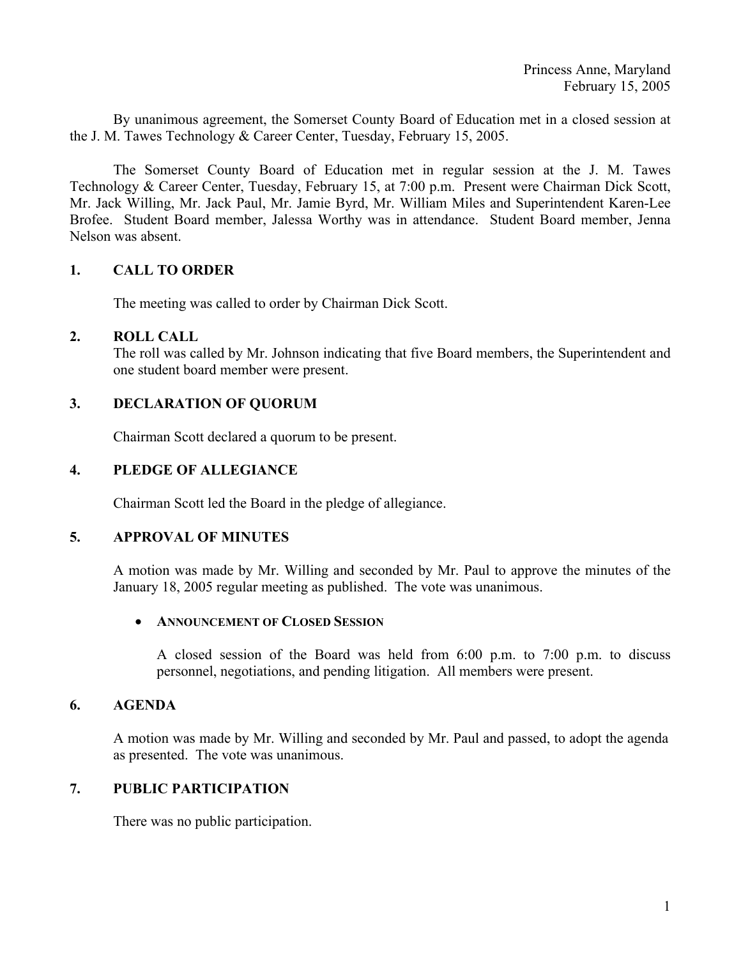By unanimous agreement, the Somerset County Board of Education met in a closed session at the J. M. Tawes Technology & Career Center, Tuesday, February 15, 2005.

 The Somerset County Board of Education met in regular session at the J. M. Tawes Technology & Career Center, Tuesday, February 15, at 7:00 p.m. Present were Chairman Dick Scott, Mr. Jack Willing, Mr. Jack Paul, Mr. Jamie Byrd, Mr. William Miles and Superintendent Karen-Lee Brofee. Student Board member, Jalessa Worthy was in attendance. Student Board member, Jenna Nelson was absent.

### **1. CALL TO ORDER**

The meeting was called to order by Chairman Dick Scott.

### **2. ROLL CALL**

The roll was called by Mr. Johnson indicating that five Board members, the Superintendent and one student board member were present.

# **3. DECLARATION OF QUORUM**

Chairman Scott declared a quorum to be present.

### **4. PLEDGE OF ALLEGIANCE**

Chairman Scott led the Board in the pledge of allegiance.

#### **5. APPROVAL OF MINUTES**

A motion was made by Mr. Willing and seconded by Mr. Paul to approve the minutes of the January 18, 2005 regular meeting as published. The vote was unanimous.

#### • **ANNOUNCEMENT OF CLOSED SESSION**

 A closed session of the Board was held from 6:00 p.m. to 7:00 p.m. to discuss personnel, negotiations, and pending litigation. All members were present.

#### **6. AGENDA**

A motion was made by Mr. Willing and seconded by Mr. Paul and passed, to adopt the agenda as presented. The vote was unanimous.

### **7. PUBLIC PARTICIPATION**

There was no public participation.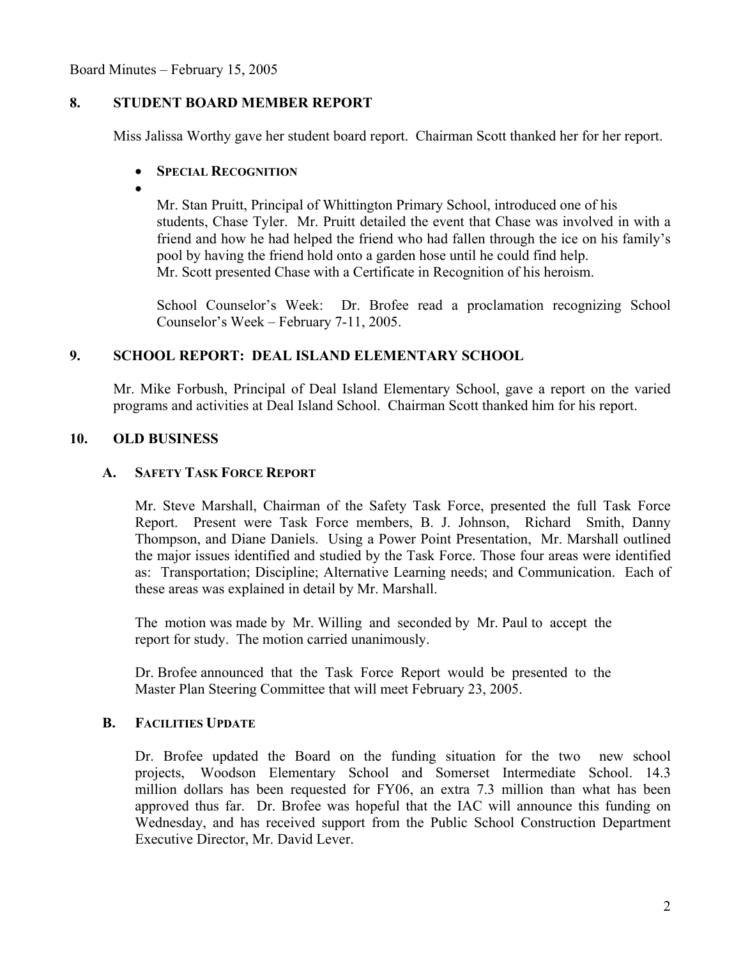Board Minutes – February 15, 2005

# **8. STUDENT BOARD MEMBER REPORT**

Miss Jalissa Worthy gave her student board report. Chairman Scott thanked her for her report.

# • **SPECIAL RECOGNITION**

•

Mr. Stan Pruitt, Principal of Whittington Primary School, introduced one of his students, Chase Tyler. Mr. Pruitt detailed the event that Chase was involved in with a friend and how he had helped the friend who had fallen through the ice on his family's pool by having the friend hold onto a garden hose until he could find help. Mr. Scott presented Chase with a Certificate in Recognition of his heroism.

 School Counselor's Week: Dr. Brofee read a proclamation recognizing School Counselor's Week – February 7-11, 2005.

# **9. SCHOOL REPORT: DEAL ISLAND ELEMENTARY SCHOOL**

Mr. Mike Forbush, Principal of Deal Island Elementary School, gave a report on the varied programs and activities at Deal Island School. Chairman Scott thanked him for his report.

# **10. OLD BUSINESS**

#### **A. SAFETY TASK FORCE REPORT**

 Mr. Steve Marshall, Chairman of the Safety Task Force, presented the full Task Force Report. Present were Task Force members, B. J. Johnson, Richard Smith, Danny Thompson, and Diane Daniels. Using a Power Point Presentation, Mr. Marshall outlined the major issues identified and studied by the Task Force. Those four areas were identified as: Transportation; Discipline; Alternative Learning needs; and Communication. Each of these areas was explained in detail by Mr. Marshall.

 The motion was made by Mr. Willing and seconded by Mr. Paul to accept the report for study. The motion carried unanimously.

 Dr. Brofee announced that the Task Force Report would be presented to the Master Plan Steering Committee that will meet February 23, 2005.

#### **B. FACILITIES UPDATE**

Dr. Brofee updated the Board on the funding situation for the two new school projects, Woodson Elementary School and Somerset Intermediate School. 14.3 million dollars has been requested for FY06, an extra 7.3 million than what has been approved thus far. Dr. Brofee was hopeful that the IAC will announce this funding on Wednesday, and has received support from the Public School Construction Department Executive Director, Mr. David Lever.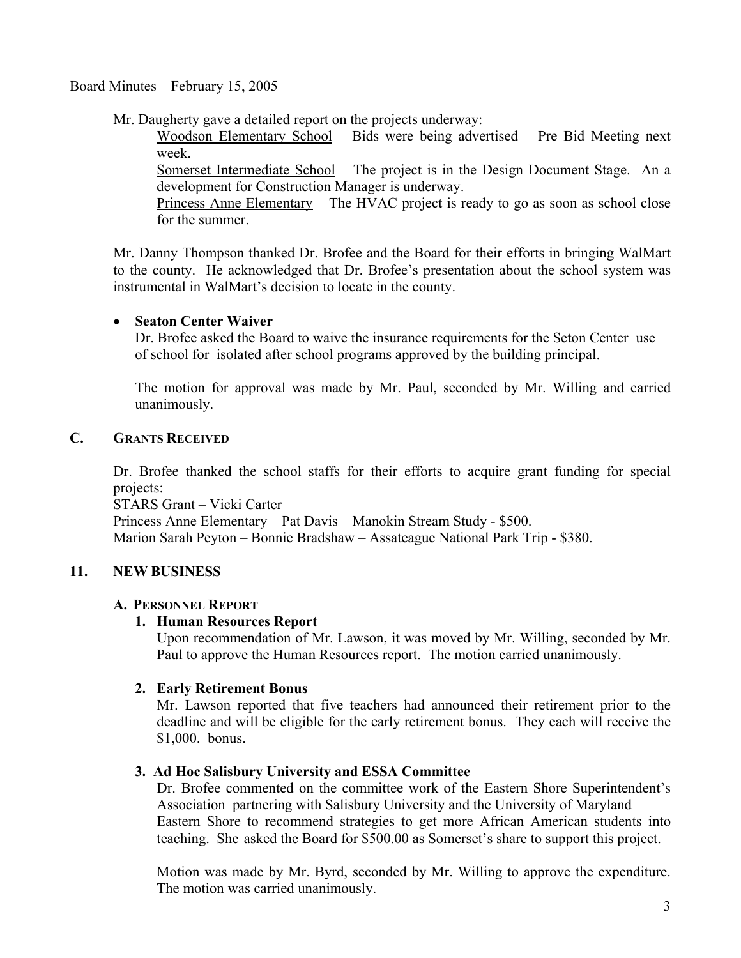# Board Minutes – February 15, 2005

Mr. Daugherty gave a detailed report on the projects underway:

 Woodson Elementary School – Bids were being advertised – Pre Bid Meeting next week.

 Somerset Intermediate School – The project is in the Design Document Stage. An a development for Construction Manager is underway.

 Princess Anne Elementary – The HVAC project is ready to go as soon as school close for the summer.

 Mr. Danny Thompson thanked Dr. Brofee and the Board for their efforts in bringing WalMart to the county. He acknowledged that Dr. Brofee's presentation about the school system was instrumental in WalMart's decision to locate in the county.

# • **Seaton Center Waiver**

 Dr. Brofee asked the Board to waive the insurance requirements for the Seton Center use of school for isolated after school programs approved by the building principal.

 The motion for approval was made by Mr. Paul, seconded by Mr. Willing and carried unanimously.

# **C. GRANTS RECEIVED**

 Dr. Brofee thanked the school staffs for their efforts to acquire grant funding for special projects:

 STARS Grant – Vicki Carter Princess Anne Elementary – Pat Davis – Manokin Stream Study - \$500. Marion Sarah Peyton – Bonnie Bradshaw – Assateague National Park Trip - \$380.

# **11. NEW BUSINESS**

#### **A. PERSONNEL REPORT**

# **1. Human Resources Report**

Upon recommendation of Mr. Lawson, it was moved by Mr. Willing, seconded by Mr. Paul to approve the Human Resources report. The motion carried unanimously.

# **2. Early Retirement Bonus**

 Mr. Lawson reported that five teachers had announced their retirement prior to the deadline and will be eligible for the early retirement bonus. They each will receive the \$1,000. bonus.

#### **3. Ad Hoc Salisbury University and ESSA Committee**

 Dr. Brofee commented on the committee work of the Eastern Shore Superintendent's Association partnering with Salisbury University and the University of Maryland Eastern Shore to recommend strategies to get more African American students into teaching. She asked the Board for \$500.00 as Somerset's share to support this project.

 Motion was made by Mr. Byrd, seconded by Mr. Willing to approve the expenditure. The motion was carried unanimously.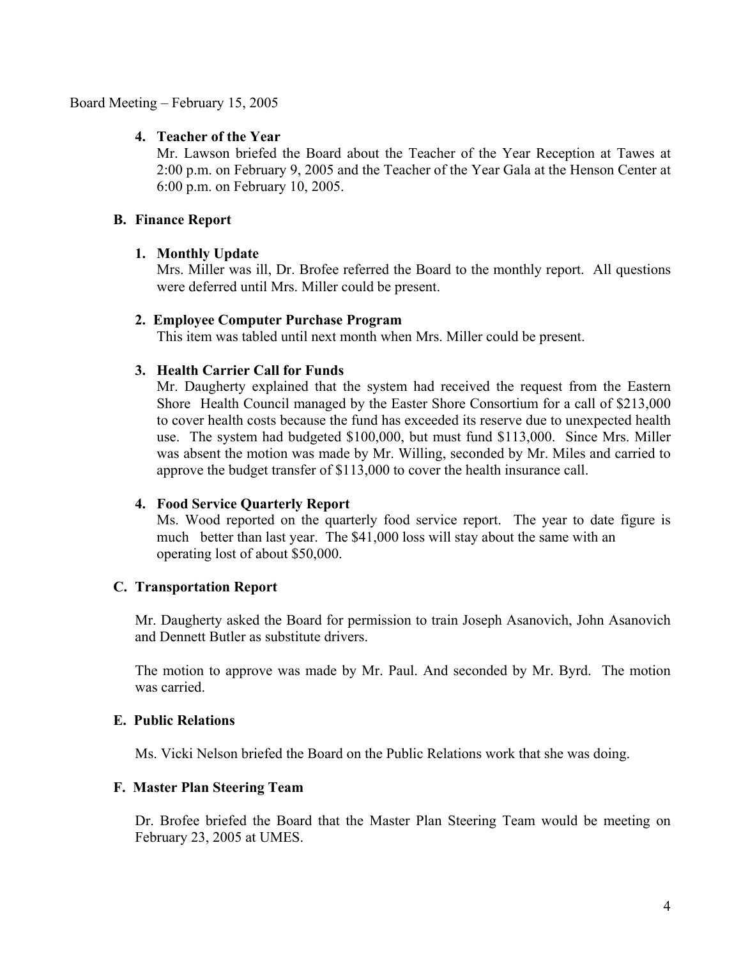### Board Meeting – February 15, 2005

### **4. Teacher of the Year**

 Mr. Lawson briefed the Board about the Teacher of the Year Reception at Tawes at 2:00 p.m. on February 9, 2005 and the Teacher of the Year Gala at the Henson Center at 6:00 p.m. on February 10, 2005.

### **B. Finance Report**

### **1. Monthly Update**

 Mrs. Miller was ill, Dr. Brofee referred the Board to the monthly report. All questions were deferred until Mrs. Miller could be present.

#### **2. Employee Computer Purchase Program**

This item was tabled until next month when Mrs. Miller could be present.

### **3. Health Carrier Call for Funds**

 Mr. Daugherty explained that the system had received the request from the Eastern Shore Health Council managed by the Easter Shore Consortium for a call of \$213,000 to cover health costs because the fund has exceeded its reserve due to unexpected health use. The system had budgeted \$100,000, but must fund \$113,000. Since Mrs. Miller was absent the motion was made by Mr. Willing, seconded by Mr. Miles and carried to approve the budget transfer of \$113,000 to cover the health insurance call.

#### **4. Food Service Quarterly Report**

 Ms. Wood reported on the quarterly food service report. The year to date figure is much better than last year. The \$41,000 loss will stay about the same with an operating lost of about \$50,000.

#### **C. Transportation Report**

 Mr. Daugherty asked the Board for permission to train Joseph Asanovich, John Asanovich and Dennett Butler as substitute drivers.

 The motion to approve was made by Mr. Paul. And seconded by Mr. Byrd. The motion was carried.

#### **E. Public Relations**

Ms. Vicki Nelson briefed the Board on the Public Relations work that she was doing.

#### **F. Master Plan Steering Team**

 Dr. Brofee briefed the Board that the Master Plan Steering Team would be meeting on February 23, 2005 at UMES.